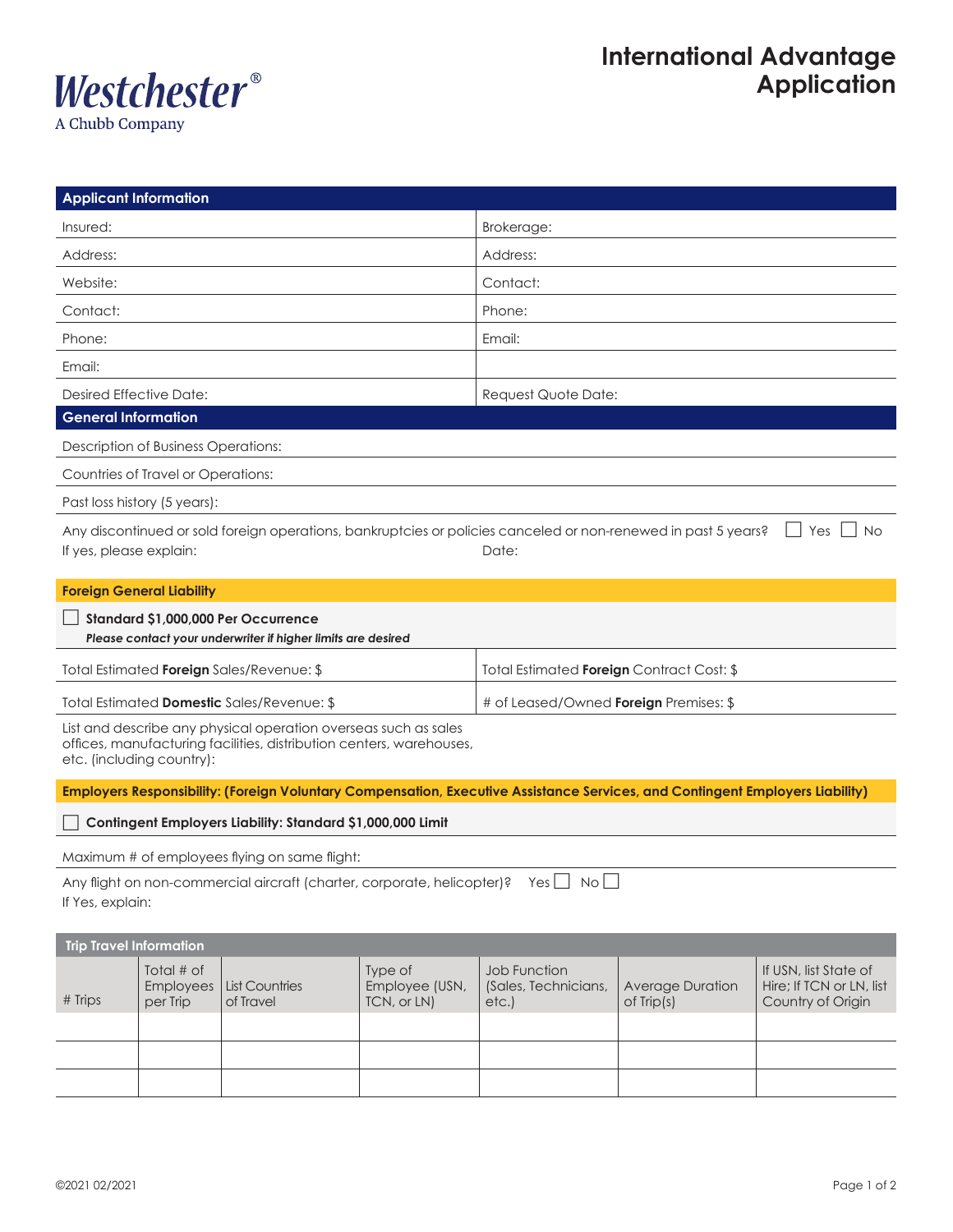

| <b>Applicant Information</b>                                                                                                                                         |                                     |                                                                                                                               |                                          |                                                                                                                                      |                                            |                                                                        |  |  |  |  |
|----------------------------------------------------------------------------------------------------------------------------------------------------------------------|-------------------------------------|-------------------------------------------------------------------------------------------------------------------------------|------------------------------------------|--------------------------------------------------------------------------------------------------------------------------------------|--------------------------------------------|------------------------------------------------------------------------|--|--|--|--|
| Insured:                                                                                                                                                             |                                     |                                                                                                                               |                                          | Brokerage:                                                                                                                           |                                            |                                                                        |  |  |  |  |
| Address:                                                                                                                                                             |                                     |                                                                                                                               |                                          | Address:                                                                                                                             |                                            |                                                                        |  |  |  |  |
| Website:                                                                                                                                                             |                                     |                                                                                                                               |                                          | Contact:                                                                                                                             |                                            |                                                                        |  |  |  |  |
| Contact:                                                                                                                                                             |                                     |                                                                                                                               |                                          | Phone:                                                                                                                               |                                            |                                                                        |  |  |  |  |
| Phone:                                                                                                                                                               |                                     |                                                                                                                               |                                          | Email:                                                                                                                               |                                            |                                                                        |  |  |  |  |
| Email:                                                                                                                                                               |                                     |                                                                                                                               |                                          |                                                                                                                                      |                                            |                                                                        |  |  |  |  |
| <b>Desired Effective Date:</b>                                                                                                                                       |                                     |                                                                                                                               |                                          | Request Quote Date:                                                                                                                  |                                            |                                                                        |  |  |  |  |
| <b>General Information</b>                                                                                                                                           |                                     |                                                                                                                               |                                          |                                                                                                                                      |                                            |                                                                        |  |  |  |  |
| Description of Business Operations:                                                                                                                                  |                                     |                                                                                                                               |                                          |                                                                                                                                      |                                            |                                                                        |  |  |  |  |
| Countries of Travel or Operations:                                                                                                                                   |                                     |                                                                                                                               |                                          |                                                                                                                                      |                                            |                                                                        |  |  |  |  |
| Past loss history (5 years):                                                                                                                                         |                                     |                                                                                                                               |                                          |                                                                                                                                      |                                            |                                                                        |  |  |  |  |
| If yes, please explain:                                                                                                                                              |                                     |                                                                                                                               |                                          | Any discontinued or sold foreign operations, bankruptcies or policies canceled or non-renewed in past 5 years?<br>No<br>Yes<br>Date: |                                            |                                                                        |  |  |  |  |
|                                                                                                                                                                      | <b>Foreign General Liability</b>    |                                                                                                                               |                                          |                                                                                                                                      |                                            |                                                                        |  |  |  |  |
| Standard \$1,000,000 Per Occurrence<br>Please contact your underwriter if higher limits are desired                                                                  |                                     |                                                                                                                               |                                          |                                                                                                                                      |                                            |                                                                        |  |  |  |  |
| Total Estimated Foreign Sales/Revenue: \$                                                                                                                            |                                     |                                                                                                                               |                                          | Total Estimated Foreign Contract Cost: \$                                                                                            |                                            |                                                                        |  |  |  |  |
| Total Estimated Domestic Sales/Revenue: \$                                                                                                                           |                                     |                                                                                                                               |                                          | # of Leased/Owned <b>Foreign</b> Premises: \$                                                                                        |                                            |                                                                        |  |  |  |  |
| List and describe any physical operation overseas such as sales<br>offices, manufacturing facilities, distribution centers, warehouses,<br>etc. (including country): |                                     |                                                                                                                               |                                          |                                                                                                                                      |                                            |                                                                        |  |  |  |  |
|                                                                                                                                                                      |                                     | Employers Responsibility: (Foreign Voluntary Compensation, Executive Assistance Services, and Contingent Employers Liability) |                                          |                                                                                                                                      |                                            |                                                                        |  |  |  |  |
|                                                                                                                                                                      |                                     | Contingent Employers Liability: Standard \$1,000,000 Limit                                                                    |                                          |                                                                                                                                      |                                            |                                                                        |  |  |  |  |
| Maximum # of employees flying on same flight:                                                                                                                        |                                     |                                                                                                                               |                                          |                                                                                                                                      |                                            |                                                                        |  |  |  |  |
| If Yes, explain:                                                                                                                                                     |                                     | Any flight on non-commercial aircraft (charter, corporate, helicopter)? Yes $\Box$ No $\Box$                                  |                                          |                                                                                                                                      |                                            |                                                                        |  |  |  |  |
| <b>Trip Travel Information</b>                                                                                                                                       |                                     |                                                                                                                               |                                          |                                                                                                                                      |                                            |                                                                        |  |  |  |  |
| # Trips                                                                                                                                                              | Total # of<br>Employees<br>per Trip | <b>List Countries</b><br>of Travel                                                                                            | Type of<br>Employee (USN,<br>TCN, or LN) | Job Function<br>(Sales, Technicians,<br>etc.                                                                                         | <b>Average Duration</b><br>$of$ Trip $(s)$ | If USN, list State of<br>Hire; If TCN or LN, list<br>Country of Origin |  |  |  |  |
|                                                                                                                                                                      |                                     |                                                                                                                               |                                          |                                                                                                                                      |                                            |                                                                        |  |  |  |  |
|                                                                                                                                                                      |                                     |                                                                                                                               |                                          |                                                                                                                                      |                                            |                                                                        |  |  |  |  |